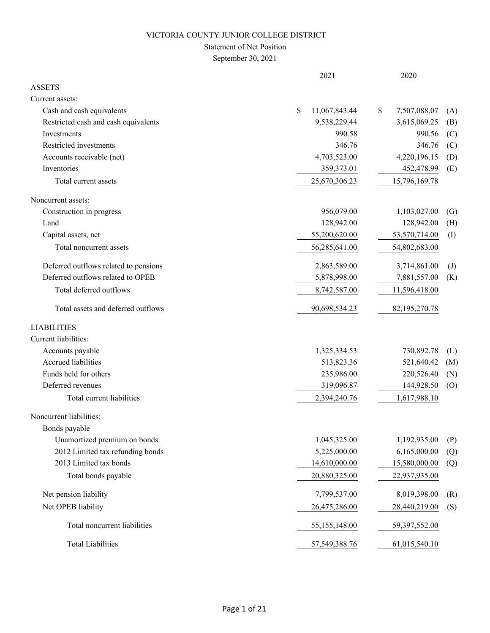## Statement of Net Position

September 30, 2021

|                                       | 2021                | 2020               |                   |
|---------------------------------------|---------------------|--------------------|-------------------|
| <b>ASSETS</b>                         |                     |                    |                   |
| Current assets:                       |                     |                    |                   |
| Cash and cash equivalents             | \$<br>11,067,843.44 | 7,507,088.07<br>\$ | (A)               |
| Restricted cash and cash equivalents  | 9,538,229.44        | 3,615,069.25       | (B)               |
| Investments                           | 990.58              | 990.56             | (C)               |
| Restricted investments                | 346.76              | 346.76             | (C)               |
| Accounts receivable (net)             | 4,703,523.00        | 4,220,196.15       | (D)               |
| Inventories                           | 359,373.01          | 452,478.99         | (E)               |
| Total current assets                  | 25,670,306.23       | 15,796,169.78      |                   |
| Noncurrent assets:                    |                     |                    |                   |
| Construction in progress              | 956,079.00          | 1,103,027.00       | $\left( G\right)$ |
| Land                                  | 128,942.00          | 128,942.00         | (H)               |
| Capital assets, net                   | 55,200,620.00       | 53,570,714.00      | (I)               |
| Total noncurrent assets               | 56,285,641.00       | 54,802,683.00      |                   |
| Deferred outflows related to pensions | 2,863,589.00        | 3,714,861.00       | $\mathrm{J}$      |
| Deferred outflows related to OPEB     | 5,878,998.00        | 7,881,557.00       | (K)               |
| Total deferred outflows               | 8,742,587.00        | 11,596,418.00      |                   |
| Total assets and deferred outflows    | 90,698,534.23       | 82,195,270.78      |                   |
| <b>LIABILITIES</b>                    |                     |                    |                   |
| Current liabilities:                  |                     |                    |                   |
| Accounts payable                      | 1,325,334.53        | 730,892.78         | (L)               |
| Accrued liabilities                   | 513,823.36          | 521,640.42         | (M)               |
| Funds held for others                 | 235,986.00          | 220,526.40         | (N)               |
| Deferred revenues                     | 319,096.87          | 144,928.50         | (0)               |
| Total current liabilities             | 2,394,240.76        | 1,617,988.10       |                   |
| Noncurrent liabilities:               |                     |                    |                   |
| Bonds payable                         |                     |                    |                   |
| Unamortized premium on bonds          | 1,045,325.00        | 1,192,935.00       | (P)               |
| 2012 Limited tax refunding bonds      | 5,225,000.00        | 6,165,000.00       | (Q)               |
| 2013 Limited tax bonds                | 14,610,000.00       | 15,580,000.00      | (Q)               |
| Total bonds payable                   | 20,880,325.00       | 22,937,935.00      |                   |
| Net pension liability                 | 7,799,537.00        | 8,019,398.00       | (R)               |
| Net OPEB liability                    | 26,475,286.00       | 28,440,219.00      | (S)               |
| Total noncurrent liabilities          | 55,155,148.00       | 59,397,552.00      |                   |
| <b>Total Liabilities</b>              | 57,549,388.76       | 61,015,540.10      |                   |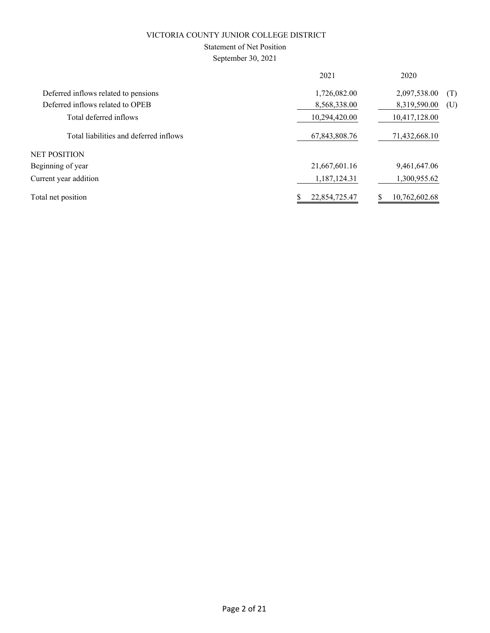## Statement of Net Position

September 30, 2021

|                                        | 2021          | 2020                |
|----------------------------------------|---------------|---------------------|
| Deferred inflows related to pensions   | 1,726,082.00  | 2,097,538.00<br>(T) |
| Deferred inflows related to OPEB       | 8,568,338.00  | 8,319,590.00<br>(U) |
| Total deferred inflows                 | 10,294,420.00 | 10,417,128.00       |
| Total liabilities and deferred inflows | 67,843,808.76 | 71,432,668.10       |
| NET POSITION                           |               |                     |
| Beginning of year                      | 21,667,601.16 | 9,461,647.06        |
| Current year addition                  | 1,187,124.31  | 1,300,955.62        |
| Total net position                     | 22,854,725.47 | 10,762,602.68       |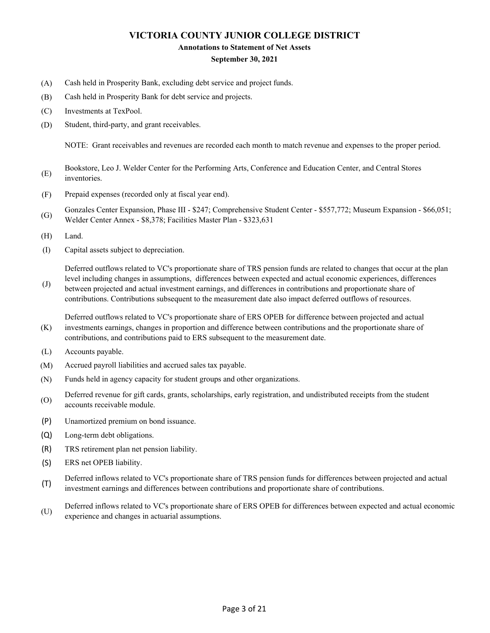#### **Annotations to Statement of Net Assets**

### **September 30, 2021**

- (A) Cash held in Prosperity Bank, excluding debt service and project funds.
- (B) Cash held in Prosperity Bank for debt service and projects.
- (C) Investments at TexPool.
- (D) Student, third-party, and grant receivables.

NOTE: Grant receivables and revenues are recorded each month to match revenue and expenses to the proper period.

- (E) Bookstore, Leo J. Welder Center for the Performing Arts, Conference and Education Center, and Central Stores inventories.
- (F) Prepaid expenses (recorded only at fiscal year end).
- (G) Gonzales Center Expansion, Phase III - \$247; Comprehensive Student Center - \$557,772; Museum Expansion - \$66,051; Welder Center Annex - \$8,378; Facilities Master Plan - \$323,631
- (H) Land.
- (I) Capital assets subject to depreciation.

Deferred outflows related to VC's proportionate share of TRS pension funds are related to changes that occur at the plan

(J) level including changes in assumptions, differences between expected and actual economic experiences, differences between projected and actual investment earnings, and differences in contributions and proportionate share of contributions. Contributions subsequent to the measurement date also impact deferred outflows of resources.

(K) Deferred outflows related to VC's proportionate share of ERS OPEB for difference between projected and actual investments earnings, changes in proportion and difference between contributions and the proportionate share of contributions, and contributions paid to ERS subsequent to the measurement date.

- (L) Accounts payable.
- (M) Accrued payroll liabilities and accrued sales tax payable.
- (N) Funds held in agency capacity for student groups and other organizations.
- (O) Deferred revenue for gift cards, grants, scholarships, early registration, and undistributed receipts from the student accounts receivable module.
- (P) Unamortized premium on bond issuance.
- (Q) Long-term debt obligations.
- (R) TRS retirement plan net pension liability.
- (S) ERS net OPEB liability.
- (T) Deferred inflows related to VC's proportionate share of TRS pension funds for differences between projected and actual investment earnings and differences between contributions and proportionate share of contributions.
- (U) Deferred inflows related to VC's proportionate share of ERS OPEB for differences between expected and actual economic experience and changes in actuarial assumptions.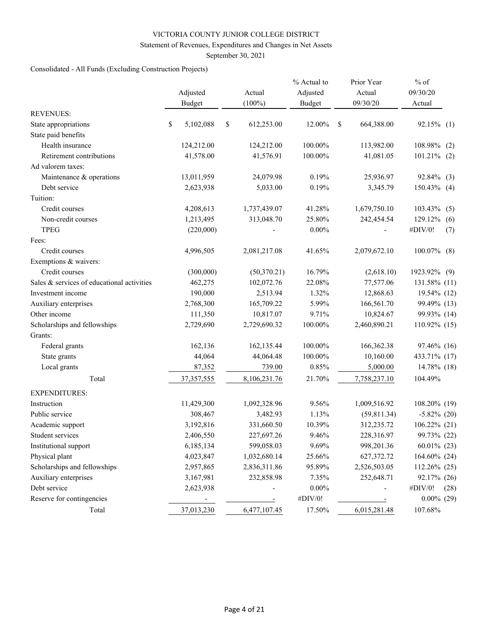### Statement of Revenues, Expenditures and Changes in Net Assets

September 30, 2021

## Consolidated - All Funds (Excluding Construction Projects)

|                                            | Adjusted<br><b>Budget</b> | Actual<br>$(100\%)$ | % Actual to<br>Adjusted<br><b>Budget</b> |   | Prior Year<br>Actual<br>09/30/20 | $%$ of<br>09/30/20<br>Actual |      |
|--------------------------------------------|---------------------------|---------------------|------------------------------------------|---|----------------------------------|------------------------------|------|
| <b>REVENUES:</b>                           |                           |                     |                                          |   |                                  |                              |      |
| State appropriations                       | \$<br>5,102,088           | \$<br>612,253.00    | 12.00%                                   | S | 664,388.00                       | 92.15% (1)                   |      |
| State paid benefits                        |                           |                     |                                          |   |                                  |                              |      |
| Health insurance                           | 124,212.00                | 124,212.00          | 100.00%                                  |   | 113,982.00                       | 108.98%                      | (2)  |
| Retirement contributions                   | 41,578.00                 | 41,576.91           | 100.00%                                  |   | 41,081.05                        | $101.21\%$ (2)               |      |
| Ad valorem taxes:                          |                           |                     |                                          |   |                                  |                              |      |
| Maintenance & operations                   | 13,011,959                | 24,079.98           | 0.19%                                    |   | 25,936.97                        | 92.84%                       | (3)  |
| Debt service                               | 2,623,938                 | 5,033.00            | 0.19%                                    |   | 3,345.79                         | $150.43\%$ (4)               |      |
| Tuition:                                   |                           |                     |                                          |   |                                  |                              |      |
| Credit courses                             | 4,208,613                 | 1,737,439.07        | 41.28%                                   |   | 1,679,750.10                     | 103.43%                      | (5)  |
| Non-credit courses                         | 1,213,495                 | 313,048.70          | 25.80%                                   |   | 242,454.54                       | 129.12%                      | (6)  |
| <b>TPEG</b>                                | (220,000)                 |                     | $0.00\%$                                 |   |                                  | #DIV/0!                      | (7)  |
| Fees:                                      |                           |                     |                                          |   |                                  |                              |      |
| Credit courses                             | 4,996,505                 | 2,081,217.08        | 41.65%                                   |   | 2,079,672.10                     | $100.07\%$ (8)               |      |
| Exemptions & waivers:                      |                           |                     |                                          |   |                                  |                              |      |
| Credit courses                             | (300,000)                 | (50,370.21)         | 16.79%                                   |   | (2,618.10)                       | 1923.92% (9)                 |      |
| Sales & services of educational activities | 462,275                   | 102,072.76          | 22.08%                                   |   | 77,577.06                        | 131.58% (11)                 |      |
| Investment income                          | 190,000                   | 2,513.94            | 1.32%                                    |   | 12,868.63                        | 19.54% (12)                  |      |
| Auxiliary enterprises                      | 2,768,300                 | 165,709.22          | 5.99%                                    |   | 166,561.70                       | 99.49% (13)                  |      |
| Other income                               | 111,350                   | 10,817.07           | 9.71%                                    |   | 10,824.67                        | 99.93% (14)                  |      |
| Scholarships and fellowships               | 2,729,690                 | 2,729,690.32        | 100.00%                                  |   | 2,460,890.21                     | 110.92% (15)                 |      |
| Grants:                                    |                           |                     |                                          |   |                                  |                              |      |
| Federal grants                             | 162,136                   | 162,135.44          | 100.00%                                  |   | 166,362.38                       | 97.46% (16)                  |      |
| State grants                               | 44,064                    | 44,064.48           | 100.00%                                  |   | 10,160.00                        | 433.71% (17)                 |      |
| Local grants                               | 87,352                    | 739.00              | 0.85%                                    |   | 5,000.00                         | 14.78% (18)                  |      |
| Total                                      | 37, 357, 555              | 8,106,231.76        | 21.70%                                   |   | 7,758,237.10                     | 104.49%                      |      |
| <b>EXPENDITURES:</b>                       |                           |                     |                                          |   |                                  |                              |      |
| Instruction                                | 11,429,300                | 1,092,328.96        | 9.56%                                    |   | 1,009,516.92                     | 108.20% (19)                 |      |
| Public service                             | 308,467                   | 3,482.93            | 1.13%                                    |   | (59, 811.34)                     | $-5.82\%$ (20)               |      |
| Academic support                           | 3,192,816                 | 331,660.50          | 10.39%                                   |   | 312,235.72                       | 106.22% (21)                 |      |
| Student services                           | 2,406,550                 | 227,697.26          | 9.46%                                    |   | 228,316.97                       | 99.73% (22)                  |      |
| Institutional support                      | 6,185,134                 | 599,058.03          | 9.69%                                    |   | 998,201.36                       | $60.01\%$ (23)               |      |
| Physical plant                             | 4,023,847                 | 1,032,680.14        | 25.66%                                   |   | 627,372.72                       | 164.60% (24)                 |      |
| Scholarships and fellowships               | 2,957,865                 | 2,836,311.86        | 95.89%                                   |   | 2,526,503.05                     | 112.26% (25)                 |      |
| Auxiliary enterprises                      | 3,167,981                 | 232,858.98          | 7.35%                                    |   | 252,648.71                       | 92.17% (26)                  |      |
| Debt service                               | 2,623,938                 |                     | $0.00\%$                                 |   |                                  | #DIV/0!                      | (28) |
| Reserve for contingencies                  | -                         |                     | #DIV/0!                                  |   |                                  | $0.00\%$ (29)                |      |
| Total                                      | 37,013,230                | 6,477,107.45        | 17.50%                                   |   | 6,015,281.48                     | 107.68%                      |      |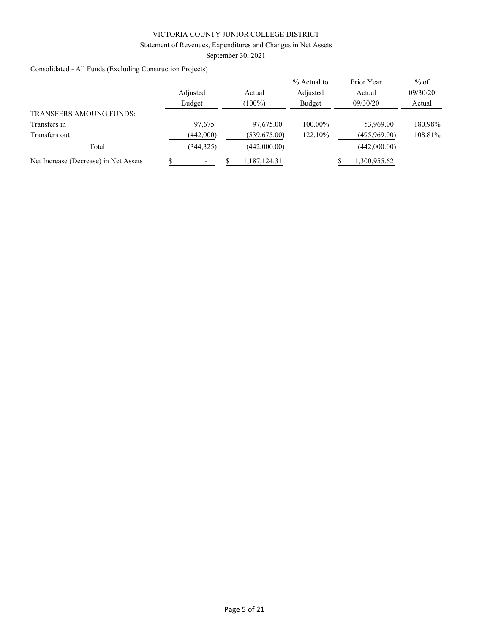## Statement of Revenues, Expenditures and Changes in Net Assets

September 30, 2021

Consolidated - All Funds (Excluding Construction Projects)

|                                       | Adjusted<br>Budget | Actual<br>$(100\%)$ | % Actual to<br>Adjusted<br>Budget | Prior Year<br>Actual<br>09/30/20 | $%$ of<br>09/30/20<br>Actual |
|---------------------------------------|--------------------|---------------------|-----------------------------------|----------------------------------|------------------------------|
| <b>TRANSFERS AMOUNG FUNDS:</b>        |                    |                     |                                   |                                  |                              |
| Transfers in                          | 97,675             | 97,675.00           | 100.00%                           | 53,969.00                        | 180.98%                      |
| Transfers out                         | (442,000)          | (539, 675.00)       | 122.10%                           | (495,969.00)                     | 108.81%                      |
| Total                                 | (344, 325)         | (442,000.00)        |                                   | (442,000.00)                     |                              |
| Net Increase (Decrease) in Net Assets |                    | 1,187,124.31        |                                   | 1,300,955.62                     |                              |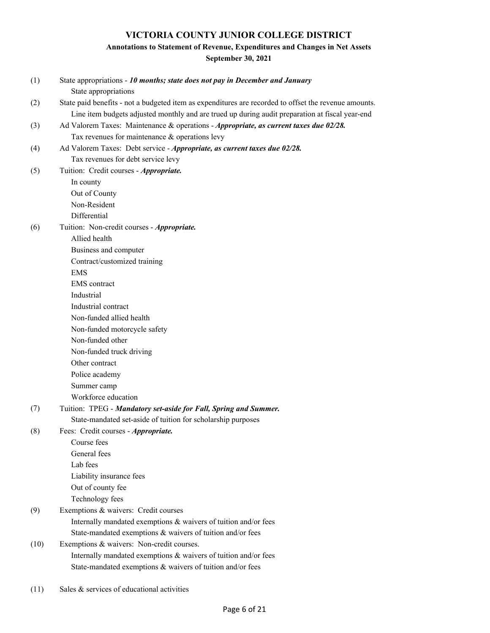## **Annotations to Statement of Revenue, Expenditures and Changes in Net Assets September 30, 2021**

| (1)  | State appropriations - 10 months; state does not pay in December and January<br>State appropriations            |
|------|-----------------------------------------------------------------------------------------------------------------|
| (2)  | State paid benefits - not a budgeted item as expenditures are recorded to offset the revenue amounts.           |
|      | Line item budgets adjusted monthly and are trued up during audit preparation at fiscal year-end                 |
| (3)  | Ad Valorem Taxes: Maintenance & operations - Appropriate, as current taxes due 02/28.                           |
|      | Tax revenues for maintenance & operations levy                                                                  |
| (4)  | Ad Valorem Taxes: Debt service - Appropriate, as current taxes due 02/28.<br>Tax revenues for debt service levy |
| (5)  | Tuition: Credit courses - Appropriate.                                                                          |
|      | In county                                                                                                       |
|      | Out of County                                                                                                   |
|      | Non-Resident                                                                                                    |
|      | Differential                                                                                                    |
| (6)  | Tuition: Non-credit courses - Appropriate.                                                                      |
|      | Allied health                                                                                                   |
|      | Business and computer                                                                                           |
|      | Contract/customized training                                                                                    |
|      | <b>EMS</b>                                                                                                      |
|      | <b>EMS</b> contract                                                                                             |
|      | Industrial                                                                                                      |
|      | Industrial contract                                                                                             |
|      | Non-funded allied health                                                                                        |
|      | Non-funded motorcycle safety                                                                                    |
|      | Non-funded other                                                                                                |
|      | Non-funded truck driving                                                                                        |
|      | Other contract                                                                                                  |
|      | Police academy                                                                                                  |
|      | Summer camp                                                                                                     |
|      | Workforce education                                                                                             |
| (7)  | Tuition: TPEG - Mandatory set-aside for Fall, Spring and Summer.                                                |
|      | State-mandated set-aside of tuition for scholarship purposes                                                    |
| (8)  | Fees: Credit courses - Appropriate.                                                                             |
|      | Course fees                                                                                                     |
|      | General fees                                                                                                    |
|      | Lab fees                                                                                                        |
|      | Liability insurance fees                                                                                        |
|      | Out of county fee                                                                                               |
|      | Technology fees                                                                                                 |
| (9)  | Exemptions & waivers: Credit courses                                                                            |
|      | Internally mandated exemptions & waivers of tuition and/or fees                                                 |
|      | State-mandated exemptions & waivers of tuition and/or fees                                                      |
| (10) | Exemptions & waivers: Non-credit courses.                                                                       |
|      | Internally mandated exemptions & waivers of tuition and/or fees                                                 |
|      | State-mandated exemptions & waivers of tuition and/or fees                                                      |

(11) Sales & services of educational activities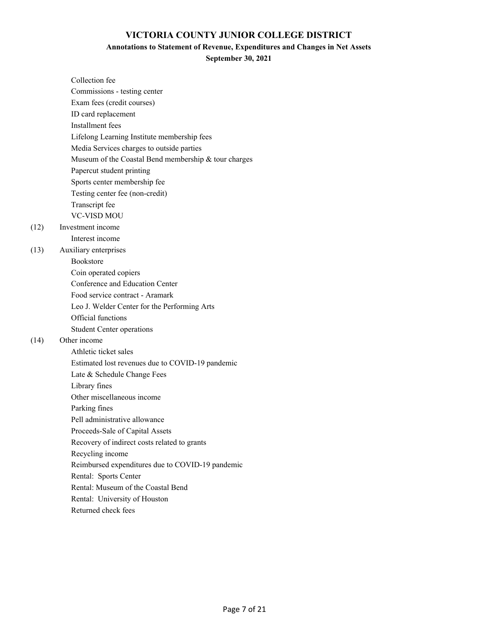## **Annotations to Statement of Revenue, Expenditures and Changes in Net Assets**

**September 30, 2021**

| Collection fee                                       |
|------------------------------------------------------|
| Commissions - testing center                         |
| Exam fees (credit courses)                           |
| ID card replacement                                  |
| Installment fees                                     |
| Lifelong Learning Institute membership fees          |
| Media Services charges to outside parties            |
| Museum of the Coastal Bend membership & tour charges |
| Papercut student printing                            |
| Sports center membership fee                         |
| Testing center fee (non-credit)                      |
| Transcript fee                                       |
| <b>VC-VISD MOU</b>                                   |
| Investment income                                    |
| Interest income                                      |
| Auxiliary enterprises                                |
| <b>Bookstore</b>                                     |
| Coin operated copiers                                |
| Conference and Education Center                      |
| Food service contract - Aramark                      |
| Leo J. Welder Center for the Performing Arts         |
| Official functions                                   |
| <b>Student Center operations</b>                     |
| Other income                                         |
| Athletic ticket sales                                |
| Estimated lost revenues due to COVID-19 pandemic     |
| Late & Schedule Change Fees                          |
| Library fines                                        |
| Other miscellaneous income                           |
| Parking fines                                        |
| Pell administrative allowance                        |
| Proceeds-Sale of Capital Assets                      |
| Recovery of indirect costs related to grants         |
| Recycling income                                     |
| Reimbursed expenditures due to COVID-19 pandemic     |
| Rental: Sports Center                                |
| Rental: Museum of the Coastal Bend                   |
| Rental: University of Houston                        |
|                                                      |

Returned check fees

 $(12)$ 

(13)

 $(14)$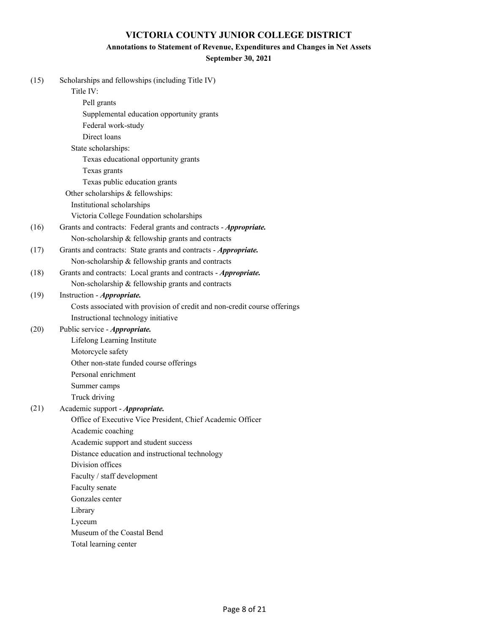### **Annotations to Statement of Revenue, Expenditures and Changes in Net Assets**

### **September 30, 2021**

| (15) | Scholarships and fellowships (including Title IV)                         |
|------|---------------------------------------------------------------------------|
|      | Title IV:                                                                 |
|      | Pell grants                                                               |
|      | Supplemental education opportunity grants                                 |
|      | Federal work-study                                                        |
|      | Direct loans                                                              |
|      | State scholarships:                                                       |
|      | Texas educational opportunity grants                                      |
|      | Texas grants                                                              |
|      | Texas public education grants                                             |
|      | Other scholarships & fellowships:                                         |
|      | Institutional scholarships                                                |
|      | Victoria College Foundation scholarships                                  |
| (16) | Grants and contracts: Federal grants and contracts - Appropriate.         |
|      | Non-scholarship & fellowship grants and contracts                         |
| (17) | Grants and contracts: State grants and contracts - Appropriate.           |
|      | Non-scholarship & fellowship grants and contracts                         |
| (18) | Grants and contracts: Local grants and contracts - Appropriate.           |
|      | Non-scholarship & fellowship grants and contracts                         |
| (19) | Instruction - Appropriate.                                                |
|      | Costs associated with provision of credit and non-credit course offerings |
|      | Instructional technology initiative                                       |
| (20) | Public service - Appropriate.                                             |
|      | Lifelong Learning Institute                                               |
|      | Motorcycle safety                                                         |
|      | Other non-state funded course offerings                                   |
|      | Personal enrichment                                                       |
|      | Summer camps                                                              |
|      | Truck driving                                                             |
| (21) | Academic support - Appropriate.                                           |
|      | Office of Executive Vice President, Chief Academic Officer                |
|      | Academic coaching                                                         |
|      | Academic support and student success                                      |
|      | Distance education and instructional technology                           |
|      | Division offices                                                          |
|      | Faculty / staff development                                               |
|      | Faculty senate                                                            |
|      | Gonzales center                                                           |
|      | Library                                                                   |
|      | Lyceum                                                                    |
|      | Museum of the Coastal Bend                                                |
|      | Total learning center                                                     |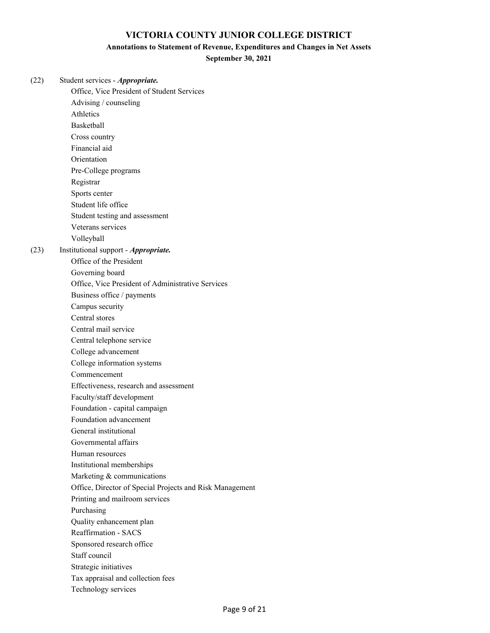### **Annotations to Statement of Revenue, Expenditures and Changes in Net Assets**

**September 30, 2021**

| (22) | Student services - Appropriate.                          |
|------|----------------------------------------------------------|
|      | Office, Vice President of Student Services               |
|      | Advising / counseling                                    |
|      | Athletics                                                |
|      | <b>Basketball</b>                                        |
|      | Cross country                                            |
|      | Financial aid                                            |
|      | Orientation                                              |
|      | Pre-College programs                                     |
|      | Registrar                                                |
|      | Sports center                                            |
|      | Student life office                                      |
|      | Student testing and assessment                           |
|      | Veterans services                                        |
|      | Volleyball                                               |
| (23) | Institutional support - Appropriate.                     |
|      | Office of the President                                  |
|      | Governing board                                          |
|      | Office, Vice President of Administrative Services        |
|      | Business office / payments                               |
|      | Campus security                                          |
|      | Central stores                                           |
|      | Central mail service                                     |
|      | Central telephone service                                |
|      | College advancement                                      |
|      | College information systems                              |
|      | Commencement                                             |
|      | Effectiveness, research and assessment                   |
|      | Faculty/staff development                                |
|      | Foundation - capital campaign                            |
|      | Foundation advancement                                   |
|      | General institutional                                    |
|      | Governmental affairs                                     |
|      | Human resources                                          |
|      | Institutional memberships                                |
|      | Marketing & communications                               |
|      | Office, Director of Special Projects and Risk Management |
|      | Printing and mailroom services                           |
|      | Purchasing                                               |
|      | Quality enhancement plan                                 |
|      | <b>Reaffirmation - SACS</b>                              |
|      | Sponsored research office                                |
|      | Staff council                                            |
|      | Strategic initiatives                                    |
|      | Tax appraisal and collection fees                        |
|      | Technology services                                      |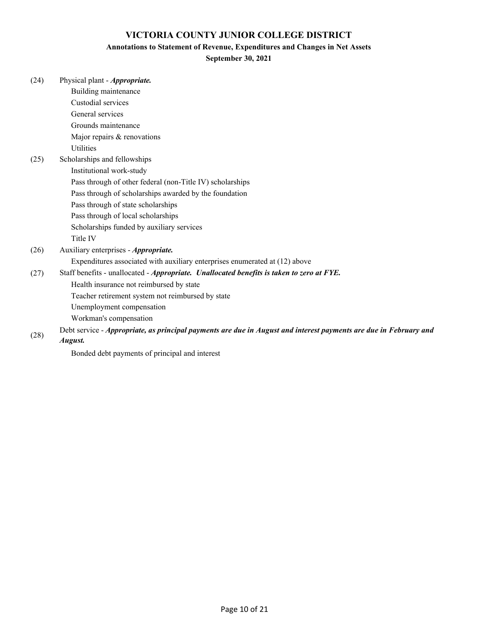#### **Annotations to Statement of Revenue, Expenditures and Changes in Net Assets**

## **September 30, 2021**

| (24) | Physical plant - Appropriate.                                                                                     |
|------|-------------------------------------------------------------------------------------------------------------------|
|      | Building maintenance                                                                                              |
|      | Custodial services                                                                                                |
|      | General services                                                                                                  |
|      | Grounds maintenance                                                                                               |
|      | Major repairs & renovations                                                                                       |
|      | <b>Utilities</b>                                                                                                  |
| (25) | Scholarships and fellowships                                                                                      |
|      | Institutional work-study                                                                                          |
|      | Pass through of other federal (non-Title IV) scholarships                                                         |
|      | Pass through of scholarships awarded by the foundation                                                            |
|      | Pass through of state scholarships                                                                                |
|      | Pass through of local scholarships                                                                                |
|      | Scholarships funded by auxiliary services                                                                         |
|      | Title IV                                                                                                          |
| (26) | Auxiliary enterprises - Appropriate.                                                                              |
|      | Expenditures associated with auxiliary enterprises enumerated at (12) above                                       |
| (27) | Staff benefits - unallocated - Appropriate. Unallocated benefits is taken to zero at FYE.                         |
|      | Health insurance not reimbursed by state                                                                          |
|      | Teacher retirement system not reimbursed by state                                                                 |
|      | Unemployment compensation                                                                                         |
|      | Workman's compensation                                                                                            |
| (28) | Debt service - Appropriate, as principal payments are due in August and interest payments are due in February and |

*August.*

Bonded debt payments of principal and interest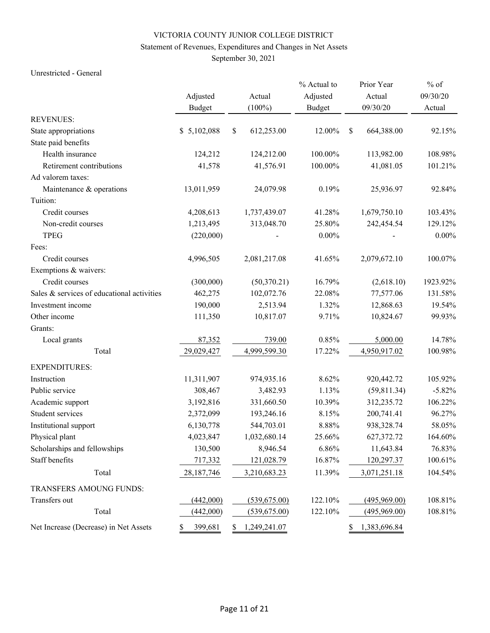## Statement of Revenues, Expenditures and Changes in Net Assets

September 30, 2021

### Unrestricted - General

|                                            |               |    |              | % Actual to   |               | Prior Year   | $%$ of   |
|--------------------------------------------|---------------|----|--------------|---------------|---------------|--------------|----------|
|                                            | Adjusted      |    | Actual       | Adjusted      |               | Actual       | 09/30/20 |
|                                            | <b>Budget</b> |    | $(100\%)$    | <b>Budget</b> |               | 09/30/20     | Actual   |
| <b>REVENUES:</b>                           |               |    |              |               |               |              |          |
| State appropriations                       | \$5,102,088   | \$ | 612,253.00   | 12.00%        | $\mathsf{\$}$ | 664,388.00   | 92.15%   |
| State paid benefits                        |               |    |              |               |               |              |          |
| Health insurance                           | 124,212       |    | 124,212.00   | 100.00%       |               | 113,982.00   | 108.98%  |
| Retirement contributions                   | 41,578        |    | 41,576.91    | 100.00%       |               | 41,081.05    | 101.21%  |
| Ad valorem taxes:                          |               |    |              |               |               |              |          |
| Maintenance & operations                   | 13,011,959    |    | 24,079.98    | 0.19%         |               | 25,936.97    | 92.84%   |
| Tuition:                                   |               |    |              |               |               |              |          |
| Credit courses                             | 4,208,613     |    | 1,737,439.07 | 41.28%        |               | 1,679,750.10 | 103.43%  |
| Non-credit courses                         | 1,213,495     |    | 313,048.70   | 25.80%        |               | 242,454.54   | 129.12%  |
| <b>TPEG</b>                                | (220,000)     |    |              | $0.00\%$      |               |              | $0.00\%$ |
| Fees:                                      |               |    |              |               |               |              |          |
| Credit courses                             | 4,996,505     |    | 2,081,217.08 | 41.65%        |               | 2,079,672.10 | 100.07%  |
| Exemptions & waivers:                      |               |    |              |               |               |              |          |
| Credit courses                             | (300,000)     |    | (50,370.21)  | 16.79%        |               | (2,618.10)   | 1923.92% |
| Sales & services of educational activities | 462,275       |    | 102,072.76   | 22.08%        |               | 77,577.06    | 131.58%  |
| Investment income                          | 190,000       |    | 2,513.94     | 1.32%         |               | 12,868.63    | 19.54%   |
| Other income                               | 111,350       |    | 10,817.07    | 9.71%         |               | 10,824.67    | 99.93%   |
| Grants:                                    |               |    |              |               |               |              |          |
| Local grants                               | 87,352        |    | 739.00       | 0.85%         |               | 5,000.00     | 14.78%   |
| Total                                      | 29,029,427    |    | 4,999,599.30 | 17.22%        |               | 4,950,917.02 | 100.98%  |
| <b>EXPENDITURES:</b>                       |               |    |              |               |               |              |          |
| Instruction                                | 11,311,907    |    | 974,935.16   | 8.62%         |               | 920,442.72   | 105.92%  |
| Public service                             | 308,467       |    | 3,482.93     | 1.13%         |               | (59, 811.34) | $-5.82%$ |
| Academic support                           | 3,192,816     |    | 331,660.50   | 10.39%        |               | 312,235.72   | 106.22%  |
| Student services                           | 2,372,099     |    | 193,246.16   | 8.15%         |               | 200,741.41   | 96.27%   |
| Institutional support                      | 6,130,778     |    | 544,703.01   | 8.88%         |               | 938,328.74   | 58.05%   |
| Physical plant                             | 4,023,847     |    | 1,032,680.14 | 25.66%        |               | 627,372.72   | 164.60%  |
| Scholarships and fellowships               | 130,500       |    | 8,946.54     | 6.86%         |               | 11,643.84    | 76.83%   |
| Staff benefits                             | 717,332       |    | 121,028.79   | 16.87%        |               | 120,297.37   | 100.61%  |
| Total                                      | 28,187,746    |    | 3,210,683.23 | 11.39%        |               | 3,071,251.18 | 104.54%  |
| TRANSFERS AMOUNG FUNDS:                    |               |    |              |               |               |              |          |
| Transfers out                              | (442,000)     |    | (539,675.00) | 122.10%       |               | (495,969.00) | 108.81%  |
| Total                                      | (442,000)     |    | (539,675.00) | 122.10%       |               | (495,969.00) | 108.81%  |
| Net Increase (Decrease) in Net Assets      | 399,681<br>\$ | S. | 1,249,241.07 |               | \$            | 1,383,696.84 |          |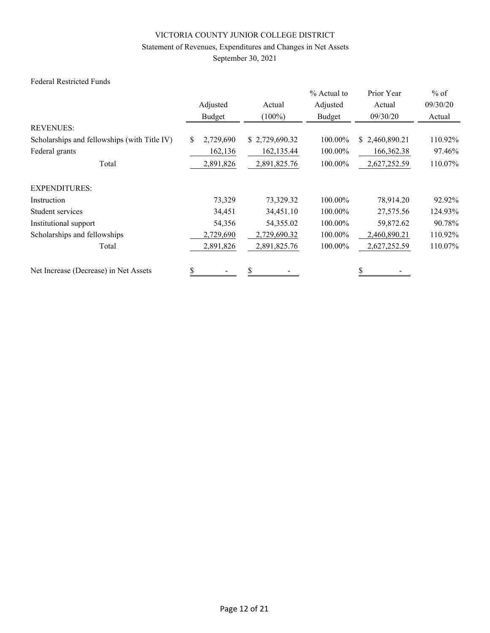## Statement of Revenues, Expenditures and Changes in Net Assets

September 30, 2021

## Federal Restricted Funds

|                                              |                 |                | % Actual to | Prior Year     | $%$ of   |
|----------------------------------------------|-----------------|----------------|-------------|----------------|----------|
|                                              | Adjusted        | Actual         | Adjusted    | Actual         | 09/30/20 |
|                                              | Budget          | $(100\%)$      | Budget      | 09/30/20       | Actual   |
| <b>REVENUES:</b>                             |                 |                |             |                |          |
| Scholarships and fellowships (with Title IV) | 2,729,690<br>\$ | \$2,729,690.32 | 100.00%     | \$2,460,890.21 | 110.92%  |
| Federal grants                               | 162,136         | 162, 135.44    | 100.00%     | 166,362.38     | 97.46%   |
| Total                                        | 2,891,826       | 2,891,825.76   | 100.00%     | 2,627,252.59   | 110.07%  |
| <b>EXPENDITURES:</b>                         |                 |                |             |                |          |
| Instruction                                  | 73,329          | 73,329.32      | 100.00%     | 78,914.20      | 92.92%   |
| Student services                             | 34,451          | 34,451.10      | 100.00%     | 27,575.56      | 124.93%  |
| Institutional support                        | 54,356          | 54,355.02      | 100.00%     | 59,872.62      | 90.78%   |
| Scholarships and fellowships                 | 2,729,690       | 2,729,690.32   | 100.00%     | 2,460,890.21   | 110.92%  |
| Total                                        | 2,891,826       | 2,891,825.76   | 100.00%     | 2,627,252.59   | 110.07%  |
| Net Increase (Decrease) in Net Assets        | \$              | \$             |             | \$             |          |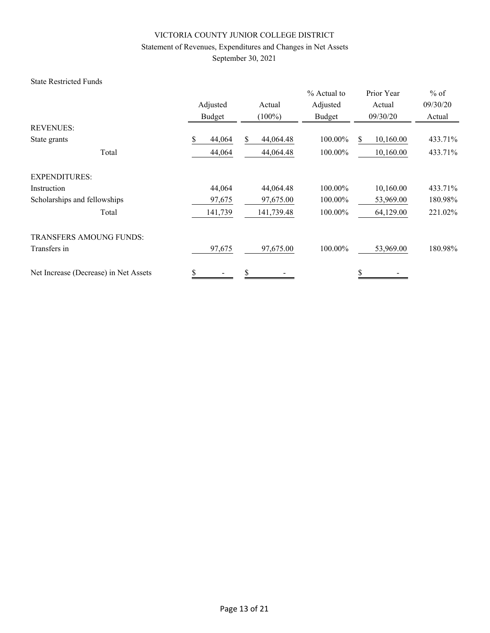## Statement of Revenues, Expenditures and Changes in Net Assets

September 30, 2021

### State Restricted Funds

|                                       |              |                | % Actual to | Prior Year      | $%$ of   |
|---------------------------------------|--------------|----------------|-------------|-----------------|----------|
|                                       | Adjusted     | Actual         | Adjusted    | Actual          | 09/30/20 |
|                                       | Budget       | $(100\%)$      | Budget      | 09/30/20        | Actual   |
| <b>REVENUES:</b>                      |              |                |             |                 |          |
| State grants                          | 44,064<br>\$ | 44,064.48<br>S | 100.00%     | 10,160.00<br>\$ | 433.71%  |
| Total                                 | 44,064       | 44,064.48      | 100.00%     | 10,160.00       | 433.71%  |
| <b>EXPENDITURES:</b>                  |              |                |             |                 |          |
| Instruction                           | 44,064       | 44,064.48      | 100.00%     | 10,160.00       | 433.71%  |
| Scholarships and fellowships          | 97,675       | 97,675.00      | 100.00%     | 53,969.00       | 180.98%  |
| Total                                 | 141,739      | 141,739.48     | 100.00%     | 64,129.00       | 221.02%  |
| <b>TRANSFERS AMOUNG FUNDS:</b>        |              |                |             |                 |          |
| Transfers in                          | 97,675       | 97,675.00      | 100.00%     | 53,969.00       | 180.98%  |
| Net Increase (Decrease) in Net Assets | \$           | \$             |             | \$              |          |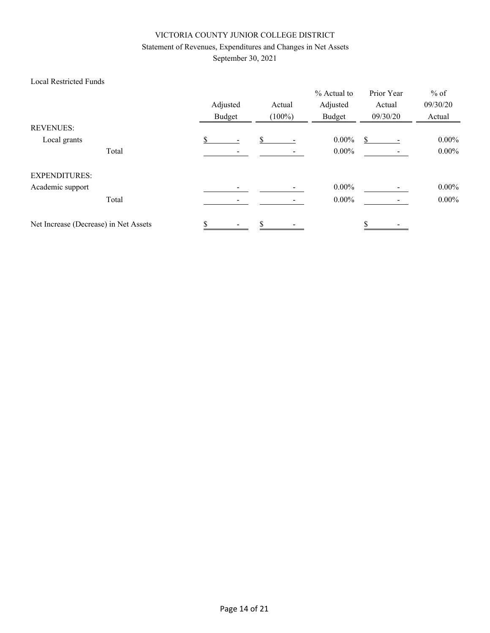## Statement of Revenues, Expenditures and Changes in Net Assets

September 30, 2021

## Local Restricted Funds

|                                       |       | Adjusted<br>Budget |    | Actual<br>$(100\%)$ | % Actual to<br>Adjusted<br>Budget | Prior Year<br>Actual<br>09/30/20 | $%$ of<br>09/30/20<br>Actual |
|---------------------------------------|-------|--------------------|----|---------------------|-----------------------------------|----------------------------------|------------------------------|
| <b>REVENUES:</b>                      |       |                    |    |                     |                                   |                                  |                              |
| Local grants                          |       |                    | \$ |                     | $0.00\%$                          | \$                               | $0.00\%$                     |
|                                       | Total |                    |    |                     | $0.00\%$                          |                                  | $0.00\%$                     |
| <b>EXPENDITURES:</b>                  |       |                    |    |                     |                                   |                                  |                              |
| Academic support                      |       |                    |    |                     | $0.00\%$                          |                                  | $0.00\%$                     |
|                                       | Total |                    |    |                     | $0.00\%$                          |                                  | $0.00\%$                     |
| Net Increase (Decrease) in Net Assets |       |                    | \$ |                     |                                   |                                  |                              |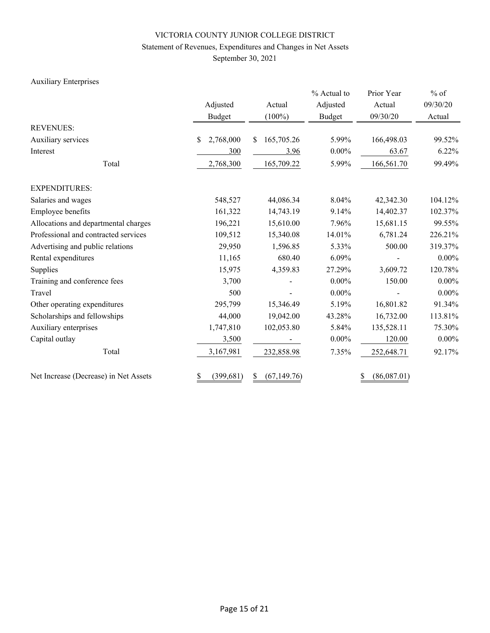## Statement of Revenues, Expenditures and Changes in Net Assets

September 30, 2021

## Auxiliary Enterprises

|                                       |                  |                   | % Actual to   | Prior Year        | $%$ of   |  |
|---------------------------------------|------------------|-------------------|---------------|-------------------|----------|--|
|                                       | Adjusted         | Actual            | Adjusted      | Actual            | 09/30/20 |  |
|                                       | Budget           | $(100\%)$         | <b>Budget</b> | 09/30/20          | Actual   |  |
| <b>REVENUES:</b>                      |                  |                   |               |                   |          |  |
| Auxiliary services                    | 2,768,000<br>\$  | 165,705.26<br>\$. | 5.99%         | 166,498.03        | 99.52%   |  |
| Interest                              | 300              | 3.96              | $0.00\%$      | 63.67             | 6.22%    |  |
| Total                                 | 2,768,300        | 165,709.22        | 5.99%         | 166,561.70        | 99.49%   |  |
| <b>EXPENDITURES:</b>                  |                  |                   |               |                   |          |  |
| Salaries and wages                    | 548,527          | 44,086.34         | 8.04%         | 42,342.30         | 104.12%  |  |
| Employee benefits                     | 161,322          | 14,743.19         | 9.14%         | 14,402.37         | 102.37%  |  |
| Allocations and departmental charges  | 196,221          | 15,610.00         | 7.96%         | 15,681.15         | 99.55%   |  |
| Professional and contracted services  | 109,512          | 15,340.08         | 14.01%        | 6,781.24          | 226.21%  |  |
| Advertising and public relations      | 29,950           | 1,596.85          | 5.33%         | 500.00            | 319.37%  |  |
| Rental expenditures                   | 11,165           | 680.40            | 6.09%         |                   | $0.00\%$ |  |
| Supplies                              | 15,975           | 4,359.83          | 27.29%        | 3,609.72          | 120.78%  |  |
| Training and conference fees          | 3,700            |                   | $0.00\%$      | 150.00            | $0.00\%$ |  |
| Travel                                | 500              |                   | $0.00\%$      |                   | $0.00\%$ |  |
| Other operating expenditures          | 295,799          | 15,346.49         | 5.19%         | 16,801.82         | 91.34%   |  |
| Scholarships and fellowships          | 44,000           | 19,042.00         | 43.28%        | 16,732.00         | 113.81%  |  |
| Auxiliary enterprises                 | 1,747,810        | 102,053.80        | 5.84%         | 135,528.11        | 75.30%   |  |
| Capital outlay                        | 3,500            |                   | $0.00\%$      | 120.00            | $0.00\%$ |  |
| Total                                 | 3,167,981        | 232,858.98        | 7.35%         | 252,648.71        | 92.17%   |  |
| Net Increase (Decrease) in Net Assets | (399, 681)<br>\$ | (67, 149.76)<br>S |               | (86,087.01)<br>\$ |          |  |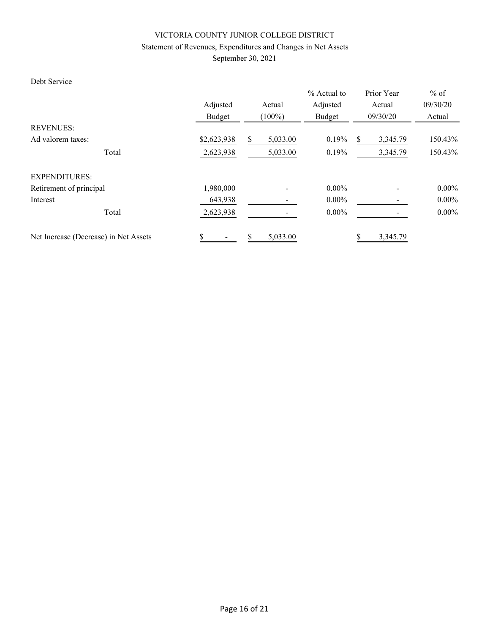## Statement of Revenues, Expenditures and Changes in Net Assets

September 30, 2021

## Debt Service

|                                       | Adjusted<br>Actual<br>Budget<br>$(100\%)$ |                | $%$ Actual to<br>Adjusted<br>Budget | Prior Year<br>Actual<br>09/30/20 | $%$ of<br>09/30/20<br>Actual |
|---------------------------------------|-------------------------------------------|----------------|-------------------------------------|----------------------------------|------------------------------|
| <b>REVENUES:</b>                      |                                           |                |                                     |                                  |                              |
| Ad valorem taxes:                     | \$2,623,938                               | \$<br>5,033.00 | 0.19%                               | 3,345.79<br>S                    | 150.43%                      |
| Total                                 | 2,623,938                                 | 5,033.00       | 0.19%                               | 3,345.79                         | 150.43%                      |
| <b>EXPENDITURES:</b>                  |                                           |                |                                     |                                  |                              |
| Retirement of principal               | 1,980,000                                 |                | $0.00\%$                            |                                  | $0.00\%$                     |
| Interest                              | 643,938                                   |                | $0.00\%$                            |                                  | $0.00\%$                     |
| Total                                 | 2,623,938                                 |                | $0.00\%$                            |                                  | $0.00\%$                     |
| Net Increase (Decrease) in Net Assets | \$                                        | \$<br>5,033.00 |                                     | 3,345.79                         |                              |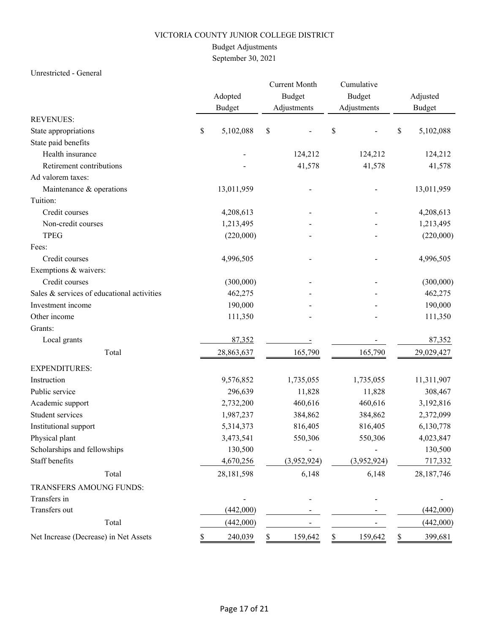## Budget Adjustments

September 30, 2021

### Unrestricted - General

|                                            |    | Adopted<br><b>Budget</b> |    | <b>Current Month</b><br><b>Budget</b><br>Adjustments | Cumulative<br>Budget<br>Adjustments | Adjusted<br><b>Budget</b> |
|--------------------------------------------|----|--------------------------|----|------------------------------------------------------|-------------------------------------|---------------------------|
| <b>REVENUES:</b>                           |    |                          |    |                                                      |                                     |                           |
| State appropriations                       | \$ | 5,102,088                | \$ |                                                      | \$                                  | \$<br>5,102,088           |
| State paid benefits                        |    |                          |    |                                                      |                                     |                           |
| Health insurance                           |    |                          |    | 124,212                                              | 124,212                             | 124,212                   |
| Retirement contributions                   |    |                          |    | 41,578                                               | 41,578                              | 41,578                    |
| Ad valorem taxes:                          |    |                          |    |                                                      |                                     |                           |
| Maintenance & operations                   |    | 13,011,959               |    |                                                      |                                     | 13,011,959                |
| Tuition:                                   |    |                          |    |                                                      |                                     |                           |
| Credit courses                             |    | 4,208,613                |    |                                                      |                                     | 4,208,613                 |
| Non-credit courses                         |    | 1,213,495                |    |                                                      |                                     | 1,213,495                 |
| <b>TPEG</b>                                |    | (220,000)                |    |                                                      |                                     | (220,000)                 |
| Fees:                                      |    |                          |    |                                                      |                                     |                           |
| Credit courses                             |    | 4,996,505                |    |                                                      |                                     | 4,996,505                 |
| Exemptions & waivers:                      |    |                          |    |                                                      |                                     |                           |
| Credit courses                             |    | (300,000)                |    |                                                      |                                     | (300,000)                 |
| Sales & services of educational activities |    | 462,275                  |    |                                                      |                                     | 462,275                   |
| Investment income                          |    | 190,000                  |    |                                                      |                                     | 190,000                   |
| Other income                               |    | 111,350                  |    |                                                      |                                     | 111,350                   |
| Grants:                                    |    |                          |    |                                                      |                                     |                           |
| Local grants                               |    | 87,352                   |    |                                                      |                                     | 87,352                    |
| Total                                      |    | 28,863,637               |    | 165,790                                              | 165,790                             | 29,029,427                |
| <b>EXPENDITURES:</b>                       |    |                          |    |                                                      |                                     |                           |
| Instruction                                |    | 9,576,852                |    | 1,735,055                                            | 1,735,055                           | 11,311,907                |
| Public service                             |    | 296,639                  |    | 11,828                                               | 11,828                              | 308,467                   |
| Academic support                           |    | 2,732,200                |    | 460,616                                              | 460,616                             | 3,192,816                 |
| Student services                           |    | 1,987,237                |    | 384,862                                              | 384,862                             | 2,372,099                 |
| Institutional support                      |    | 5,314,373                |    | 816,405                                              | 816,405                             | 6,130,778                 |
| Physical plant                             |    | 3,473,541                |    | 550,306                                              | 550,306                             | 4,023,847                 |
| Scholarships and fellowships               |    | 130,500                  |    |                                                      |                                     | 130,500                   |
| Staff benefits                             |    | 4,670,256                |    | (3,952,924)                                          | (3,952,924)                         | 717,332                   |
| Total                                      |    | 28,181,598               |    | 6,148                                                | 6,148                               | 28,187,746                |
| TRANSFERS AMOUNG FUNDS:                    |    |                          |    |                                                      |                                     |                           |
| Transfers in                               |    |                          |    |                                                      |                                     |                           |
| Transfers out                              |    | (442,000)                |    |                                                      |                                     | (442,000)                 |
| Total                                      |    | (442,000)                |    |                                                      |                                     | (442,000)                 |
| Net Increase (Decrease) in Net Assets      |    | 240,039                  | \$ | 159,642                                              | \$<br>159,642                       | 399,681                   |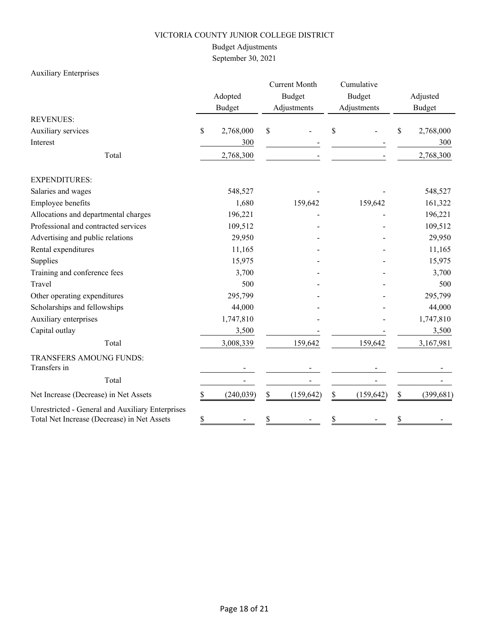## Budget Adjustments

September 30, 2021

## Auxiliary Enterprises

|                                                                                                 |    | Adopted<br><b>Budget</b> |    | <b>Current Month</b><br><b>Budget</b><br>Adjustments |    | Cumulative<br><b>Budget</b><br>Adjustments |    | Adjusted<br><b>Budget</b> |  |
|-------------------------------------------------------------------------------------------------|----|--------------------------|----|------------------------------------------------------|----|--------------------------------------------|----|---------------------------|--|
| <b>REVENUES:</b>                                                                                |    |                          |    |                                                      |    |                                            |    |                           |  |
| Auxiliary services                                                                              | \$ | 2,768,000                | \$ |                                                      | S  |                                            | \$ | 2,768,000                 |  |
| Interest                                                                                        |    | 300                      |    |                                                      |    |                                            |    | 300                       |  |
| Total                                                                                           |    | 2,768,300                |    |                                                      |    |                                            |    | 2,768,300                 |  |
| <b>EXPENDITURES:</b>                                                                            |    |                          |    |                                                      |    |                                            |    |                           |  |
| Salaries and wages                                                                              |    | 548,527                  |    |                                                      |    |                                            |    | 548,527                   |  |
| Employee benefits                                                                               |    | 1,680                    |    | 159,642                                              |    | 159,642                                    |    | 161,322                   |  |
| Allocations and departmental charges                                                            |    | 196,221                  |    |                                                      |    |                                            |    | 196,221                   |  |
| Professional and contracted services                                                            |    | 109,512                  |    |                                                      |    |                                            |    | 109,512                   |  |
| Advertising and public relations                                                                |    | 29,950                   |    |                                                      |    |                                            |    | 29,950                    |  |
| Rental expenditures                                                                             |    | 11,165                   |    |                                                      |    |                                            |    | 11,165                    |  |
| Supplies                                                                                        |    | 15,975                   |    |                                                      |    |                                            |    | 15,975                    |  |
| Training and conference fees                                                                    |    | 3,700                    |    |                                                      |    |                                            |    | 3,700                     |  |
| Travel                                                                                          |    | 500                      |    |                                                      |    |                                            |    | 500                       |  |
| Other operating expenditures                                                                    |    | 295,799                  |    |                                                      |    |                                            |    | 295,799                   |  |
| Scholarships and fellowships                                                                    |    | 44,000                   |    |                                                      |    |                                            |    | 44,000                    |  |
| Auxiliary enterprises                                                                           |    | 1,747,810                |    |                                                      |    |                                            |    | 1,747,810                 |  |
| Capital outlay                                                                                  |    | 3,500                    |    |                                                      |    |                                            |    | 3,500                     |  |
| Total                                                                                           |    | 3,008,339                |    | 159,642                                              |    | 159,642                                    |    | 3,167,981                 |  |
| TRANSFERS AMOUNG FUNDS:                                                                         |    |                          |    |                                                      |    |                                            |    |                           |  |
| Transfers in                                                                                    |    |                          |    |                                                      |    |                                            |    |                           |  |
| Total                                                                                           |    |                          |    |                                                      |    |                                            |    |                           |  |
| Net Increase (Decrease) in Net Assets                                                           | \$ | (240, 039)               | \$ | (159, 642)                                           | \$ | (159, 642)                                 | \$ | (399, 681)                |  |
| Unrestricted - General and Auxiliary Enterprises<br>Total Net Increase (Decrease) in Net Assets | \$ |                          | \$ |                                                      |    |                                            | \$ |                           |  |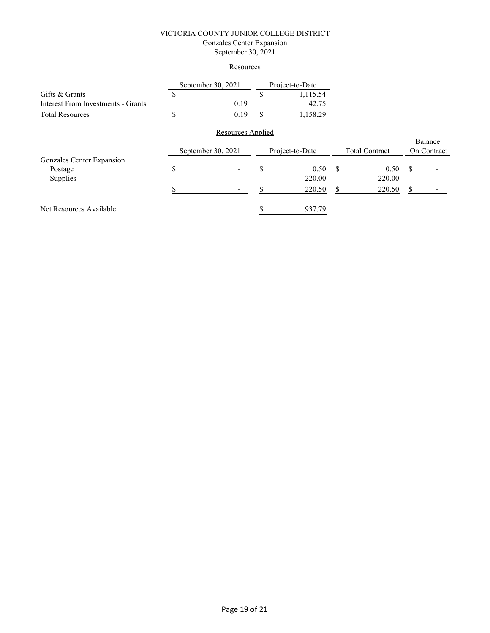### VICTORIA COUNTY JUNIOR COLLEGE DISTRICT Gonzales Center Expansion September 30, 2021

### **Resources**

|                                    |                    | September 30, 2021       |    | Project-to-Date                          |     |        |               |                        |
|------------------------------------|--------------------|--------------------------|----|------------------------------------------|-----|--------|---------------|------------------------|
| Gifts & Grants                     | S                  | -                        | S  | 1,115.54                                 |     |        |               |                        |
| Interest From Investments - Grants |                    | 0.19                     |    | 42.75                                    |     |        |               |                        |
| <b>Total Resources</b>             |                    | 0.19                     | \$ | 1,158.29                                 |     |        |               |                        |
|                                    |                    | <b>Resources Applied</b> |    |                                          |     |        |               |                        |
|                                    | September 30, 2021 |                          |    | Project-to-Date<br><b>Total Contract</b> |     |        |               | Balance<br>On Contract |
| Gonzales Center Expansion          |                    |                          |    |                                          |     |        |               |                        |
| Postage                            | \$                 |                          | S  | 0.50                                     | -\$ | 0.50   | <sup>\$</sup> |                        |
| Supplies                           |                    |                          |    | 220.00                                   |     | 220.00 |               |                        |
|                                    |                    |                          |    | 220.50                                   | S   | 220.50 | S             |                        |
| Net Resources Available            |                    |                          |    | 937.79                                   |     |        |               |                        |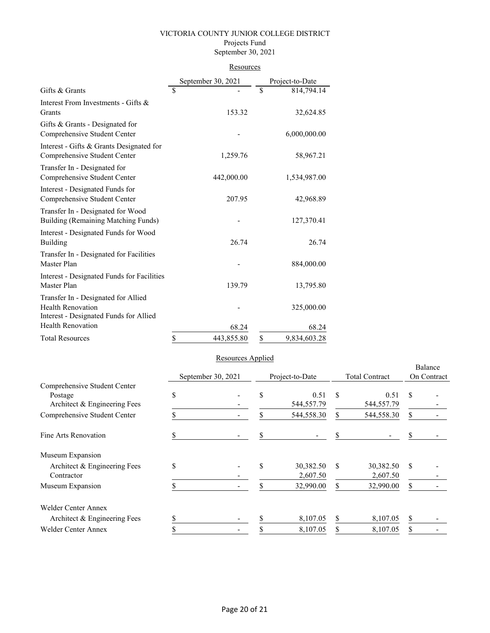#### VICTORIA COUNTY JUNIOR COLLEGE DISTRICT Projects Fund September 30, 2021

| Resources |
|-----------|
|           |

|                                                                                                           | September 30, 2021 | Project-to-Date    |
|-----------------------------------------------------------------------------------------------------------|--------------------|--------------------|
| Gifts & Grants                                                                                            | \$                 | \$<br>814,794.14   |
| Interest From Investments - Gifts &<br>Grants                                                             | 153.32             | 32,624.85          |
| Gifts & Grants - Designated for<br>Comprehensive Student Center                                           |                    | 6,000,000.00       |
| Interest - Gifts & Grants Designated for<br>Comprehensive Student Center                                  | 1,259.76           | 58,967.21          |
| Transfer In - Designated for<br>Comprehensive Student Center                                              | 442,000.00         | 1,534,987.00       |
| Interest - Designated Funds for<br>Comprehensive Student Center                                           | 207.95             | 42,968.89          |
| Transfer In - Designated for Wood<br>Building (Remaining Matching Funds)                                  |                    | 127,370.41         |
| Interest - Designated Funds for Wood<br>Building                                                          | 26.74              | 26.74              |
| Transfer In - Designated for Facilities<br>Master Plan                                                    |                    | 884,000.00         |
| Interest - Designated Funds for Facilities<br>Master Plan                                                 | 139.79             | 13,795.80          |
| Transfer In - Designated for Allied<br><b>Health Renovation</b><br>Interest - Designated Funds for Allied |                    | 325,000.00         |
| <b>Health Renovation</b>                                                                                  | 68.24              | 68.24              |
| <b>Total Resources</b>                                                                                    | \$<br>443,855.80   | \$<br>9,834,603.28 |

## Resources Applied

|                                            |                    |  |    |                       |               |                       |             | Balance |  |
|--------------------------------------------|--------------------|--|----|-----------------------|---------------|-----------------------|-------------|---------|--|
|                                            | September 30, 2021 |  |    | Project-to-Date       |               | <b>Total Contract</b> | On Contract |         |  |
| Comprehensive Student Center<br>Postage    | \$                 |  | \$ | 0.51                  | S<br>0.51     |                       | S           |         |  |
| Architect & Engineering Fees               |                    |  |    | 544,557.79            |               | 544,557.79            |             |         |  |
| Comprehensive Student Center               |                    |  | S  | 544,558.30            | \$            | 544,558.30            | \$          |         |  |
| Fine Arts Renovation                       |                    |  | \$ |                       |               |                       | S           |         |  |
| Museum Expansion                           |                    |  |    |                       |               |                       |             |         |  |
| Architect & Engineering Fees<br>Contractor | \$                 |  | \$ | 30,382.50<br>2,607.50 | <sup>\$</sup> | 30,382.50<br>2,607.50 | \$          |         |  |
| Museum Expansion                           |                    |  | S  | 32,990.00             | \$            | 32,990.00             | S           |         |  |
| <b>Welder Center Annex</b>                 |                    |  |    |                       |               |                       |             |         |  |
| Architect & Engineering Fees               |                    |  |    | 8,107.05              | \$            | 8,107.05              | \$          |         |  |
| <b>Welder Center Annex</b>                 |                    |  | ъ  | 8,107.05              | \$            | 8,107.05              | \$          |         |  |